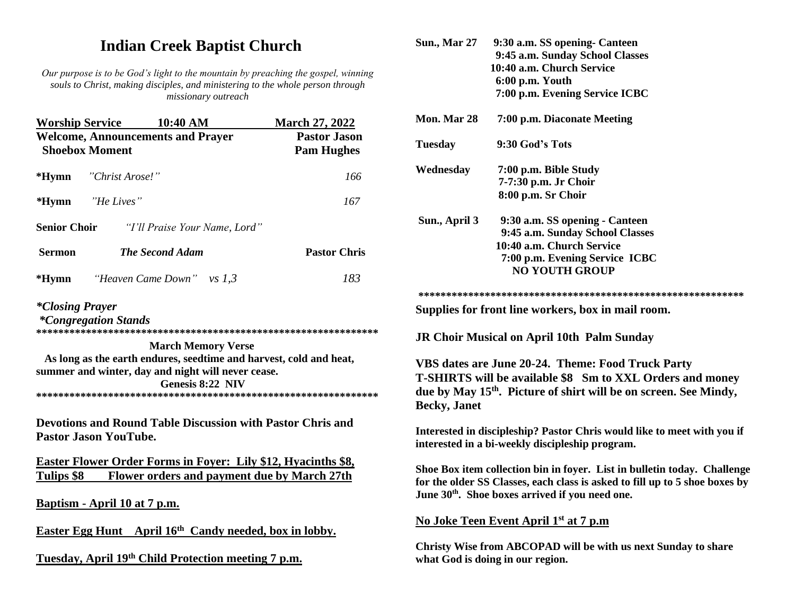# **Indian Creek Baptist Church**

*Our purpose is to be God's light to the mountain by preaching the gospel, winning souls to Christ, making disciples, and ministering to the whole person through missionary outreach*

|                        | <b>Worship Service 10:40 AM</b>                                   | <b>March 27, 2022</b>                    |
|------------------------|-------------------------------------------------------------------|------------------------------------------|
|                        | <b>Welcome, Announcements and Prayer</b><br><b>Shoebox Moment</b> | <b>Pastor Jason</b><br><b>Pam Hughes</b> |
|                        | * <b>Hymn</b> "Christ Arose!"                                     | 166                                      |
|                        | *Hymn "He Lives"                                                  | 167                                      |
| <b>Senior Choir</b>    | "I'll Praise Your Name, Lord"                                     |                                          |
| <b>Sermon</b>          | <b>The Second Adam</b>                                            | <b>Pastor Chris</b>                      |
|                        | <b>*Hymn</b> <i>Heaven Came Down</i> " vs $1,3$                   | 183                                      |
| <i>*Closing Prayer</i> |                                                                   |                                          |

*\*Congregation Stands* 

**\*\*\*\*\*\*\*\*\*\*\*\*\*\*\*\*\*\*\*\*\*\*\*\*\*\*\*\*\*\*\*\*\*\*\*\*\*\*\*\*\*\*\*\*\*\*\*\*\*\*\*\*\*\*\*\*\*\*\*\*\*\***

 **March Memory Verse As long as the earth endures, seedtime and harvest, cold and heat, summer and winter, day and night will never cease. Genesis 8:22 NIV \*\*\*\*\*\*\*\*\*\*\*\*\*\*\*\*\*\*\*\*\*\*\*\*\*\*\*\*\*\*\*\*\*\*\*\*\*\*\*\*\*\*\*\*\*\*\*\*\*\*\*\*\*\*\*\*\*\*\*\*\*\***

**Devotions and Round Table Discussion with Pastor Chris and Pastor Jason YouTube.**

**Easter Flower Order Forms in Foyer: Lily \$12, Hyacinths \$8, Tulips \$8 Flower orders and payment due by March 27th**

**Baptism - April 10 at 7 p.m.** 

**Easter Egg Hunt April 16th Candy needed, box in lobby.**

**Tuesday, April 19th Child Protection meeting 7 p.m.**

|     | <b>Sun., Mar 27</b>                                                                                                        | 9:30 a.m. SS opening- Canteen<br>9:45 a.m. Sunday School Classes                                                                                                                                                       |  |  |
|-----|----------------------------------------------------------------------------------------------------------------------------|------------------------------------------------------------------------------------------------------------------------------------------------------------------------------------------------------------------------|--|--|
| ng  |                                                                                                                            | 10:40 a.m. Church Service                                                                                                                                                                                              |  |  |
|     |                                                                                                                            | 6:00 p.m. Youth<br>7:00 p.m. Evening Service ICBC                                                                                                                                                                      |  |  |
|     |                                                                                                                            |                                                                                                                                                                                                                        |  |  |
|     | Mon. Mar 28                                                                                                                | 7:00 p.m. Diaconate Meeting                                                                                                                                                                                            |  |  |
|     | <b>Tuesday</b>                                                                                                             | 9:30 God's Tots                                                                                                                                                                                                        |  |  |
|     | Wednesday                                                                                                                  | 7:00 p.m. Bible Study                                                                                                                                                                                                  |  |  |
|     |                                                                                                                            | 7-7:30 p.m. Jr Choir                                                                                                                                                                                                   |  |  |
|     |                                                                                                                            | 8:00 p.m. Sr Choir                                                                                                                                                                                                     |  |  |
|     | Sun., April 3                                                                                                              | 9:30 a.m. SS opening - Canteen                                                                                                                                                                                         |  |  |
|     |                                                                                                                            | 9:45 a.m. Sunday School Classes                                                                                                                                                                                        |  |  |
|     |                                                                                                                            | 10:40 a.m. Church Service                                                                                                                                                                                              |  |  |
|     |                                                                                                                            | 7:00 p.m. Evening Service ICBC                                                                                                                                                                                         |  |  |
|     |                                                                                                                            | <b>NO YOUTH GROUP</b>                                                                                                                                                                                                  |  |  |
|     |                                                                                                                            |                                                                                                                                                                                                                        |  |  |
|     |                                                                                                                            | Supplies for front line workers, box in mail room.                                                                                                                                                                     |  |  |
| *** |                                                                                                                            | <b>JR Choir Musical on April 10th Palm Sunday</b>                                                                                                                                                                      |  |  |
|     |                                                                                                                            | VBS dates are June 20-24. Theme: Food Truck Party                                                                                                                                                                      |  |  |
|     |                                                                                                                            | <b>T-SHIRTS will be available \$8 Sm to XXL Orders and money</b>                                                                                                                                                       |  |  |
| *** |                                                                                                                            | due by May 15 <sup>th</sup> . Picture of shirt will be on screen. See Mindy,                                                                                                                                           |  |  |
|     | <b>Becky</b> , Janet                                                                                                       |                                                                                                                                                                                                                        |  |  |
|     | Interested in discipleship? Pastor Chris would like to meet with you if<br>interested in a bi-weekly discipleship program. |                                                                                                                                                                                                                        |  |  |
|     |                                                                                                                            | Shoe Box item collection bin in foyer. List in bulletin today. Challenge<br>for the older SS Classes, each class is asked to fill up to 5 shoe boxes by<br>June 30 <sup>th</sup> . Shoe boxes arrived if you need one. |  |  |
|     | <u>No Joke Teen Event April 1st at 7 p.m</u>                                                                               |                                                                                                                                                                                                                        |  |  |
|     |                                                                                                                            | Christy Wise from ABCOPAD will be with us next Sunday to share<br>what God is doing in our region.                                                                                                                     |  |  |